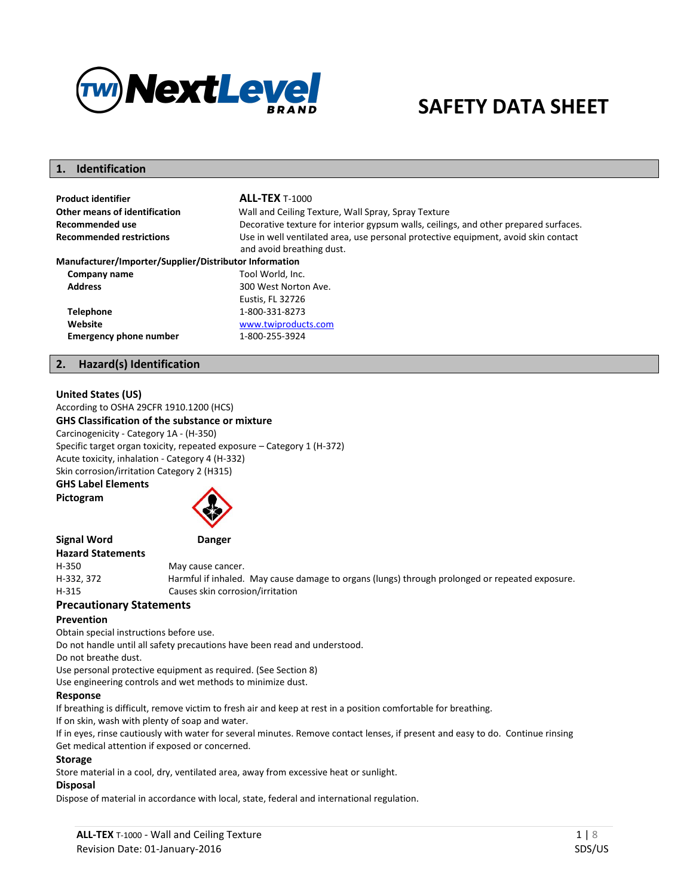

# **SAFETY DATA SHEET**

## **1. Identification**

| <b>Product identifier</b>                              | <b>ALL-TEX T-1000</b>                                                                                           |
|--------------------------------------------------------|-----------------------------------------------------------------------------------------------------------------|
| Other means of identification                          | Wall and Ceiling Texture, Wall Spray, Spray Texture                                                             |
| Recommended use                                        | Decorative texture for interior gypsum walls, ceilings, and other prepared surfaces.                            |
| <b>Recommended restrictions</b>                        | Use in well ventilated area, use personal protective equipment, avoid skin contact<br>and avoid breathing dust. |
| Manufacturer/Importer/Supplier/Distributor Information |                                                                                                                 |
| Company name                                           | Tool World, Inc.                                                                                                |
| <b>Address</b>                                         | 300 West Norton Ave.<br>Eustis, FL 32726                                                                        |
| <b>Telephone</b>                                       | 1-800-331-8273                                                                                                  |
| Website                                                | www.twiproducts.com                                                                                             |
| <b>Emergency phone number</b>                          | 1-800-255-3924                                                                                                  |

#### **2. Hazard(s) Identification**

#### **United States (US)**

According to OSHA 29CFR 1910.1200 (HCS) **GHS Classification of the substance or mixture** 

Carcinogenicity - Category 1A - (H-350)

Specific target organ toxicity, repeated exposure – Category 1 (H-372) Acute toxicity, inhalation - Category 4 (H-332) Skin corrosion/irritation Category 2 (H315)

**GHS Label Elements** 

**Pictogram** 



**Signal Word Danger Hazard Statements**  May cause cancer. H-332, 372 Harmful if inhaled. May cause damage to organs (lungs) through prolonged or repeated exposure. H-315 Causes skin corrosion/irritation

#### **Precautionary Statements**

#### **Prevention**

Obtain special instructions before use.

Do not handle until all safety precautions have been read and understood.

Do not breathe dust.

Use personal protective equipment as required. (See Section 8)

Use engineering controls and wet methods to minimize dust.

#### **Response**

If breathing is difficult, remove victim to fresh air and keep at rest in a position comfortable for breathing.

If on skin, wash with plenty of soap and water.

If in eyes, rinse cautiously with water for several minutes. Remove contact lenses, if present and easy to do. Continue rinsing Get medical attention if exposed or concerned.

#### **Storage**

Store material in a cool, dry, ventilated area, away from excessive heat or sunlight.

#### **Disposal**

Dispose of material in accordance with local, state, federal and international regulation.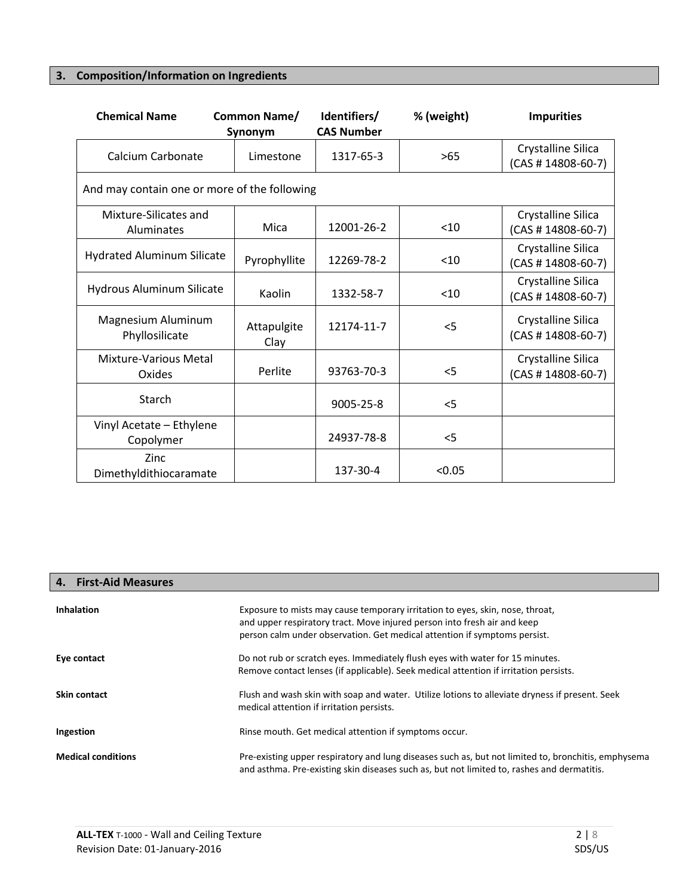# **3. Composition/Information on Ingredients**

| <b>Chemical Name</b>                         | Common Name/<br>Synonym | Identifiers/<br><b>CAS Number</b> | % (weight) | <b>Impurities</b>                          |
|----------------------------------------------|-------------------------|-----------------------------------|------------|--------------------------------------------|
| Calcium Carbonate                            | Limestone               | 1317-65-3                         | >65        | Crystalline Silica<br>$(CAS # 14808-60-7)$ |
| And may contain one or more of the following |                         |                                   |            |                                            |
| Mixture-Silicates and<br>Aluminates          | Mica                    | 12001-26-2                        | < 10       | Crystalline Silica<br>$(CAS # 14808-60-7)$ |
| <b>Hydrated Aluminum Silicate</b>            | Pyrophyllite            | 12269-78-2                        | $10$       | Crystalline Silica<br>$(CAS # 14808-60-7)$ |
| Hydrous Aluminum Silicate                    | Kaolin                  | 1332-58-7                         | < 10       | Crystalline Silica<br>$(CAS # 14808-60-7)$ |
| Magnesium Aluminum<br>Phyllosilicate         | Attapulgite<br>Clay     | 12174-11-7                        | $<$ 5      | Crystalline Silica<br>$(CAS # 14808-60-7)$ |
| Mixture-Various Metal<br>Oxides              | Perlite                 | 93763-70-3                        | $<$ 5      | Crystalline Silica<br>$(CAS # 14808-60-7)$ |
| Starch                                       |                         | 9005-25-8                         | $<$ 5      |                                            |
| Vinyl Acetate - Ethylene<br>Copolymer        |                         | 24937-78-8                        | $<$ 5      |                                            |
| Zinc<br>Dimethyldithiocaramate               |                         | 137-30-4                          | < 0.05     |                                            |

## **4. First-Aid Measures**

| <b>Inhalation</b>         | Exposure to mists may cause temporary irritation to eyes, skin, nose, throat,<br>and upper respiratory tract. Move injured person into fresh air and keep<br>person calm under observation. Get medical attention if symptoms persist. |
|---------------------------|----------------------------------------------------------------------------------------------------------------------------------------------------------------------------------------------------------------------------------------|
| Eye contact               | Do not rub or scratch eyes. Immediately flush eyes with water for 15 minutes.<br>Remove contact lenses (if applicable). Seek medical attention if irritation persists.                                                                 |
| Skin contact              | Flush and wash skin with soap and water. Utilize lotions to alleviate dryness if present. Seek<br>medical attention if irritation persists.                                                                                            |
| Ingestion                 | Rinse mouth. Get medical attention if symptoms occur.                                                                                                                                                                                  |
| <b>Medical conditions</b> | Pre-existing upper respiratory and lung diseases such as, but not limited to, bronchitis, emphysema<br>and asthma. Pre-existing skin diseases such as, but not limited to, rashes and dermatitis.                                      |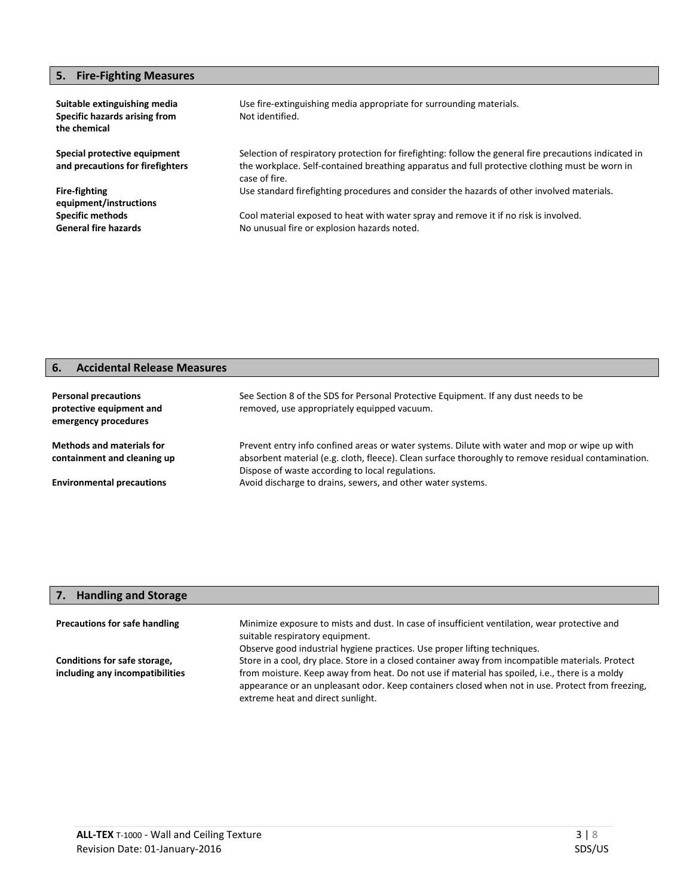## **5. Fire-Fighting Measures**

| Suitable extinguishing media<br>Specific hazards arising from<br>the chemical | Use fire-extinguishing media appropriate for surrounding materials.<br>Not identified.                                                                                                                                    |
|-------------------------------------------------------------------------------|---------------------------------------------------------------------------------------------------------------------------------------------------------------------------------------------------------------------------|
| Special protective equipment<br>and precautions for firefighters              | Selection of respiratory protection for firefighting: follow the general fire precautions indicated in<br>the workplace. Self-contained breathing apparatus and full protective clothing must be worn in<br>case of fire. |
| <b>Fire-fighting</b><br>equipment/instructions                                | Use standard firefighting procedures and consider the hazards of other involved materials.                                                                                                                                |
| <b>Specific methods</b><br><b>General fire hazards</b>                        | Cool material exposed to heat with water spray and remove it if no risk is involved.<br>No unusual fire or explosion hazards noted.                                                                                       |

## **6. Accidental Release Measures**

| <b>Personal precautions</b><br>protective equipment and<br>emergency procedures | See Section 8 of the SDS for Personal Protective Equipment. If any dust needs to be<br>removed, use appropriately equipped vacuum.                                                                                                                       |
|---------------------------------------------------------------------------------|----------------------------------------------------------------------------------------------------------------------------------------------------------------------------------------------------------------------------------------------------------|
| <b>Methods and materials for</b><br>containment and cleaning up                 | Prevent entry info confined areas or water systems. Dilute with water and mop or wipe up with<br>absorbent material (e.g. cloth, fleece). Clean surface thoroughly to remove residual contamination.<br>Dispose of waste according to local regulations. |
| <b>Environmental precautions</b>                                                | Avoid discharge to drains, sewers, and other water systems.                                                                                                                                                                                              |

| 7. Handling and Storage              |                                                                                                   |
|--------------------------------------|---------------------------------------------------------------------------------------------------|
| <b>Precautions for safe handling</b> | Minimize exposure to mists and dust. In case of insufficient ventilation, wear protective and     |
|                                      | suitable respiratory equipment.                                                                   |
|                                      | Observe good industrial hygiene practices. Use proper lifting techniques.                         |
| Conditions for safe storage,         | Store in a cool, dry place. Store in a closed container away from incompatible materials. Protect |
| including any incompatibilities      | from moisture. Keep away from heat. Do not use if material has spoiled, i.e., there is a moldy    |
|                                      | appearance or an unpleasant odor. Keep containers closed when not in use. Protect from freezing,  |
|                                      | extreme heat and direct sunlight.                                                                 |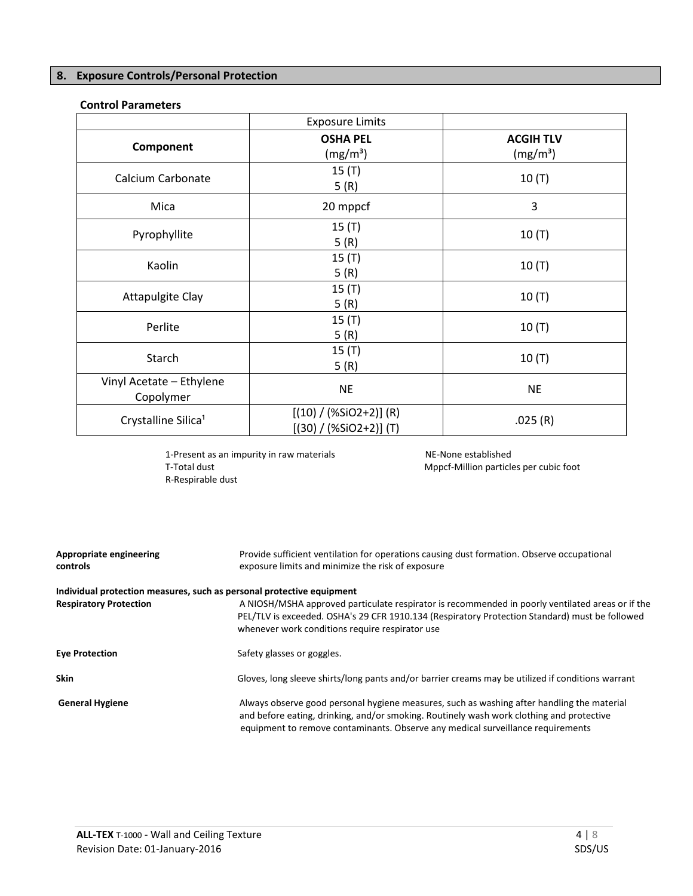## **8. Exposure Controls/Personal Protection**

## **Control Parameters**

|                                       | <b>Exposure Limits</b>                               |                                          |
|---------------------------------------|------------------------------------------------------|------------------------------------------|
| Component                             | <b>OSHA PEL</b><br>(mg/m <sup>3</sup> )              | <b>ACGIH TLV</b><br>(mg/m <sup>3</sup> ) |
| Calcium Carbonate                     | $15($ T)<br>5(R)                                     | 10(T)                                    |
| Mica                                  | 20 mppcf                                             | 3                                        |
| Pyrophyllite                          | $15($ T)<br>5(R)                                     | 10(T)                                    |
| Kaolin                                | 15(T)<br>5(R)                                        | 10(T)                                    |
| <b>Attapulgite Clay</b>               | 15(T)<br>5(R)                                        | 10(T)                                    |
| Perlite                               | 15(T)<br>5(R)                                        | 10(T)                                    |
| Starch                                | 15(T)<br>5(R)                                        | $10($ T)                                 |
| Vinyl Acetate - Ethylene<br>Copolymer | <b>NE</b>                                            | <b>NE</b>                                |
| Crystalline Silica <sup>1</sup>       | $[(10) / (%SiO2+2)] (R)$<br>$[(30) / (%SiO2+2)]$ (T) | .025(R)                                  |

1-Present as an impurity in raw materials NE-None established<br>T-Total dust Net-Million particle R-Respirable dust

Mppcf-Million particles per cubic foot

| Appropriate engineering<br>controls                                   | Provide sufficient ventilation for operations causing dust formation. Observe occupational<br>exposure limits and minimize the risk of exposure                                                                                                                           |
|-----------------------------------------------------------------------|---------------------------------------------------------------------------------------------------------------------------------------------------------------------------------------------------------------------------------------------------------------------------|
| Individual protection measures, such as personal protective equipment |                                                                                                                                                                                                                                                                           |
| <b>Respiratory Protection</b>                                         | A NIOSH/MSHA approved particulate respirator is recommended in poorly ventilated areas or if the<br>PEL/TLV is exceeded. OSHA's 29 CFR 1910.134 (Respiratory Protection Standard) must be followed<br>whenever work conditions require respirator use                     |
| <b>Eye Protection</b>                                                 | Safety glasses or goggles.                                                                                                                                                                                                                                                |
| <b>Skin</b>                                                           | Gloves, long sleeve shirts/long pants and/or barrier creams may be utilized if conditions warrant                                                                                                                                                                         |
| <b>General Hygiene</b>                                                | Always observe good personal hygiene measures, such as washing after handling the material<br>and before eating, drinking, and/or smoking. Routinely wash work clothing and protective<br>equipment to remove contaminants. Observe any medical surveillance requirements |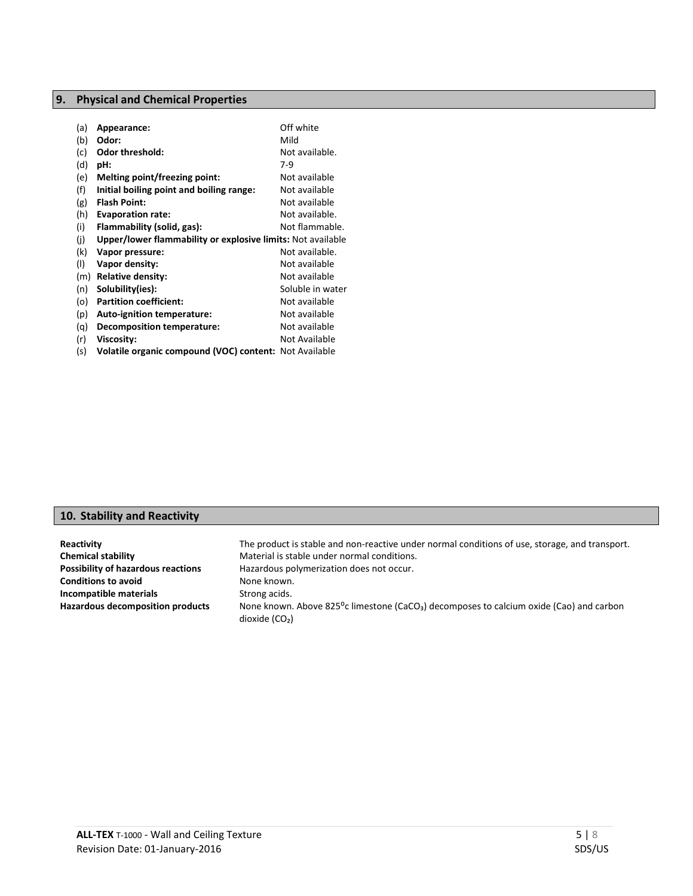## **9. Physical and Chemical Properties**

| (a) | Appearance:                                                 | Off white        |
|-----|-------------------------------------------------------------|------------------|
| (b) | Odor:                                                       | Mild             |
| (c) | <b>Odor threshold:</b>                                      | Not available.   |
| (d) | pH:                                                         | $7-9$            |
| (e) | Melting point/freezing point:                               | Not available    |
| (f) | Initial boiling point and boiling range:                    | Not available    |
| (g) | <b>Flash Point:</b>                                         | Not available    |
| (h) | <b>Evaporation rate:</b>                                    | Not available.   |
| (i) | Flammability (solid, gas):                                  | Not flammable.   |
| (i) | Upper/lower flammability or explosive limits: Not available |                  |
| (k) | Vapor pressure:                                             | Not available.   |
| (1) | Vapor density:                                              | Not available    |
| (m) | <b>Relative density:</b>                                    | Not available    |
| (n) | Solubility(ies):                                            | Soluble in water |
| (o) | <b>Partition coefficient:</b>                               | Not available    |
| (p) | Auto-ignition temperature:                                  | Not available    |
| (q) | Decomposition temperature:                                  | Not available    |
| (r) | Viscosity:                                                  | Not Available    |
| (s) | Volatile organic compound (VOC) content: Not Available      |                  |

## **10. Stability and Reactivity**

| Reactivity                                | The product is stable and non-reactive under normal conditions of use, storage, and transport.                                      |
|-------------------------------------------|-------------------------------------------------------------------------------------------------------------------------------------|
| <b>Chemical stability</b>                 | Material is stable under normal conditions.                                                                                         |
| <b>Possibility of hazardous reactions</b> | Hazardous polymerization does not occur.                                                                                            |
| <b>Conditions to avoid</b>                | None known.                                                                                                                         |
| Incompatible materials                    | Strong acids.                                                                                                                       |
| <b>Hazardous decomposition products</b>   | None known. Above 825 <sup>o</sup> c limestone (CaCO <sub>3</sub> ) decomposes to calcium oxide (Cao) and carbon<br>dioxide $(CO2)$ |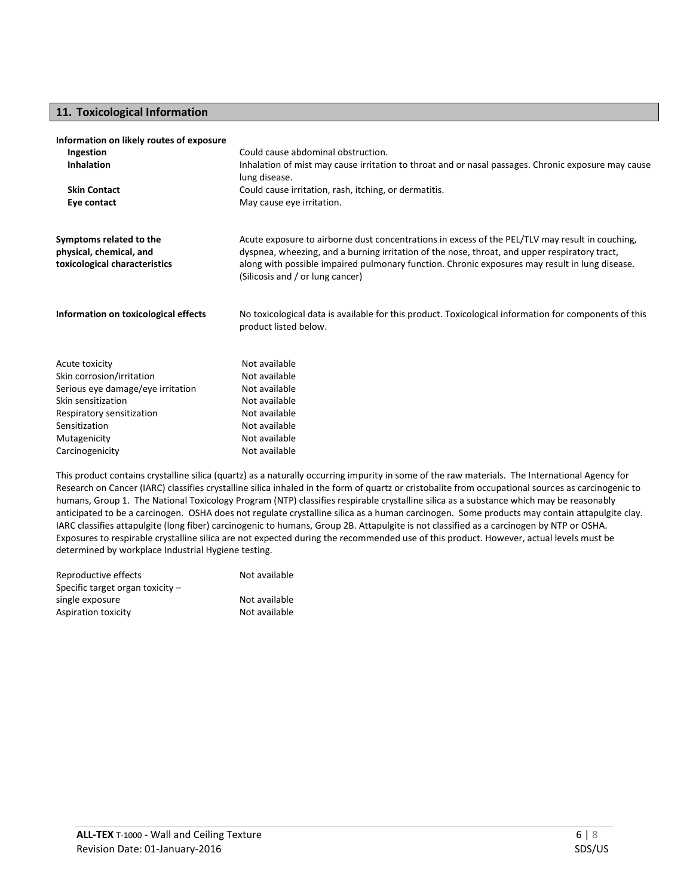## **11. Toxicological Information**

#### **Information on likely routes of exposure**

| Could cause abdominal obstruction.<br>Ingestion |                                                                                                                                    |  |
|-------------------------------------------------|------------------------------------------------------------------------------------------------------------------------------------|--|
| <b>Inhalation</b>                               | Inhalation of mist may cause irritation to throat and or nasal passages. Chronic exposure may cause<br>lung disease.               |  |
| <b>Skin Contact</b>                             | Could cause irritation, rash, itching, or dermatitis.                                                                              |  |
| Eye contact                                     | May cause eye irritation.                                                                                                          |  |
| Symptoms related to the                         | Acute exposure to airborne dust concentrations in excess of the PEL/TLV may result in couching,                                    |  |
| physical, chemical, and                         | dyspnea, wheezing, and a burning irritation of the nose, throat, and upper respiratory tract,                                      |  |
| toxicological characteristics                   | along with possible impaired pulmonary function. Chronic exposures may result in lung disease.<br>(Silicosis and / or lung cancer) |  |
| Information on toxicological effects            | No toxicological data is available for this product. Toxicological information for components of this<br>product listed below.     |  |
| Acute toxicity                                  | Not available                                                                                                                      |  |
| Skin corrosion/irritation                       | Not available                                                                                                                      |  |
| Serious eye damage/eye irritation               | Not available                                                                                                                      |  |
| Skin sensitization                              | Not available                                                                                                                      |  |
| Respiratory sensitization                       | Not available                                                                                                                      |  |
| Sensitization                                   | Not available                                                                                                                      |  |
| Mutagenicity                                    | Not available                                                                                                                      |  |
| Carcinogenicity                                 | Not available                                                                                                                      |  |

This product contains crystalline silica (quartz) as a naturally occurring impurity in some of the raw materials. The International Agency for Research on Cancer (IARC) classifies crystalline silica inhaled in the form of quartz or cristobalite from occupational sources as carcinogenic to humans, Group 1. The National Toxicology Program (NTP) classifies respirable crystalline silica as a substance which may be reasonably anticipated to be a carcinogen. OSHA does not regulate crystalline silica as a human carcinogen. Some products may contain attapulgite clay. IARC classifies attapulgite (long fiber) carcinogenic to humans, Group 2B. Attapulgite is not classified as a carcinogen by NTP or OSHA. Exposures to respirable crystalline silica are not expected during the recommended use of this product. However, actual levels must be determined by workplace Industrial Hygiene testing.

| Reproductive effects               | Not available |
|------------------------------------|---------------|
| Specific target organ toxicity $-$ |               |
| single exposure                    | Not available |
| Aspiration toxicity                | Not available |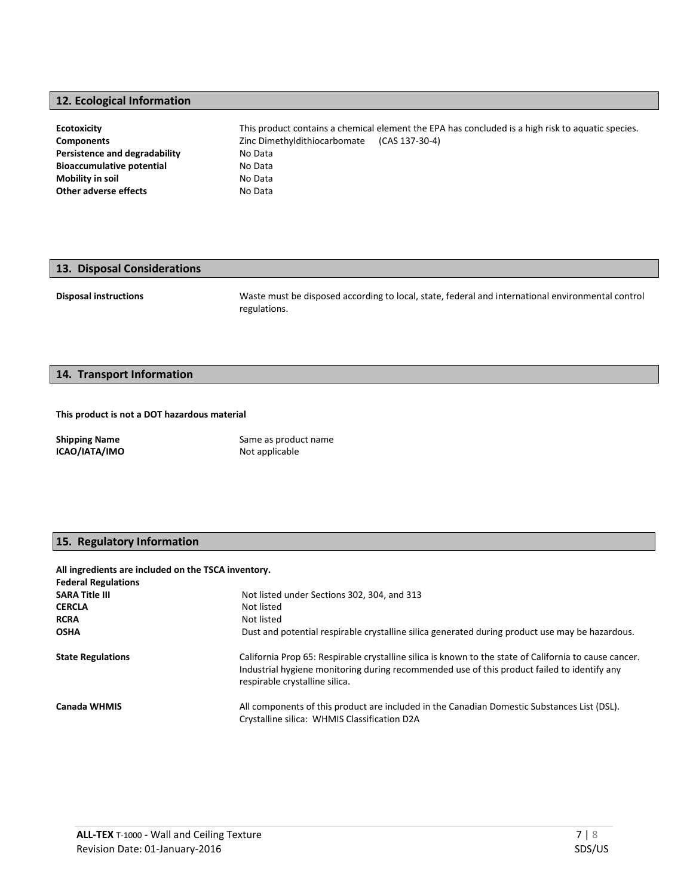## **12. Ecological Information**

| <b>Ecotoxicity</b>               | This product contains a chemical element the EPA has concluded is a high risk to aquatic species. |
|----------------------------------|---------------------------------------------------------------------------------------------------|
| <b>Components</b>                | Zinc Dimethyldithiocarbomate<br>(CAS 137-30-4)                                                    |
| Persistence and degradability    | No Data                                                                                           |
| <b>Bioaccumulative potential</b> | No Data                                                                                           |
| <b>Mobility in soil</b>          | No Data                                                                                           |
| Other adverse effects            | No Data                                                                                           |

# **13. Disposal Considerations**

**Disposal instructions** Waste must be disposed according to local, state, federal and international environmental control regulations.

#### **14. Transport Information**

#### **This product is not a DOT hazardous material**

**Shipping Name** Same as product name **ICAO/IATA/IMO** Not applicable

## **15. Regulatory Information**

**All ingredients are included on the TSCA inventory.**

| <b>Federal Regulations</b> |                                                                                                                                                                                                                                         |
|----------------------------|-----------------------------------------------------------------------------------------------------------------------------------------------------------------------------------------------------------------------------------------|
| <b>SARA Title III</b>      | Not listed under Sections 302, 304, and 313                                                                                                                                                                                             |
| <b>CERCLA</b>              | Not listed                                                                                                                                                                                                                              |
| <b>RCRA</b>                | Not listed                                                                                                                                                                                                                              |
| <b>OSHA</b>                | Dust and potential respirable crystalline silica generated during product use may be hazardous.                                                                                                                                         |
| <b>State Regulations</b>   | California Prop 65: Respirable crystalline silica is known to the state of California to cause cancer.<br>Industrial hygiene monitoring during recommended use of this product failed to identify any<br>respirable crystalline silica. |
| Canada WHMIS               | All components of this product are included in the Canadian Domestic Substances List (DSL).<br>Crystalline silica: WHMIS Classification D2A                                                                                             |